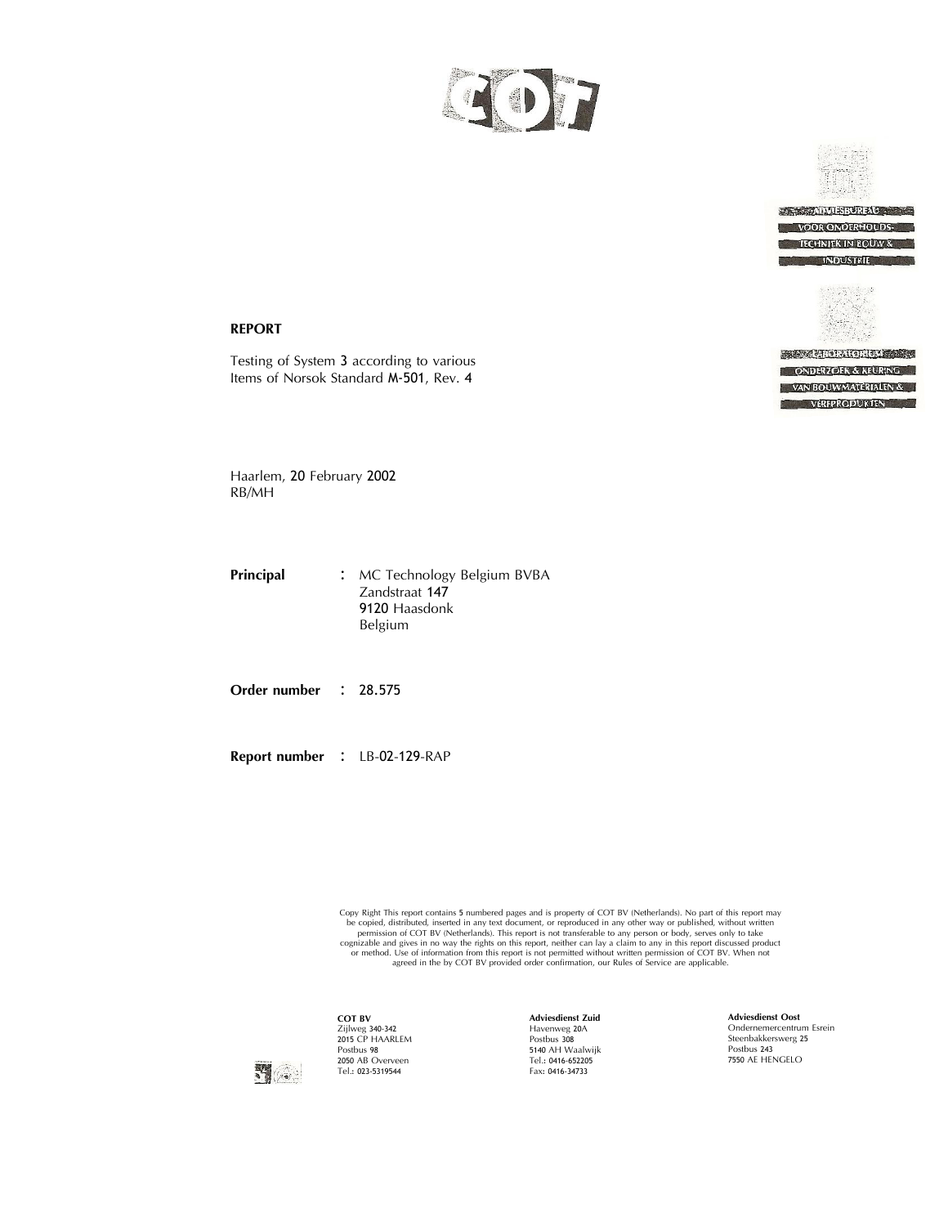



### **REPORT**

Testing of System <sup>3</sup> according to various Items of Norsok Standard M‐501, Rev. <sup>4</sup>

**RECORD ANGELIA CONTINUES.** ONDERZOEK & KEURING VAN BOUWMATERIALEN & VERFPRODUKTEN

Haarlem, <sup>20</sup> February <sup>2002</sup> RB/MH

**Principal :** MC Technology Belgium BVBA Zandstraat <sup>147</sup> 9120 Haasdonk<br>Belgium

**Order number :** 28.575

**Report number : LB-02-129-RAP** 

Copy Right This report contains 5 numbered pages and is property of COT BV (Netherlands). No part of this report may be copied, distributed, inserted in any text document, or reproduced in any other way or published, with agreed in the by COT BV provided order confirmation, our Rules of Service are applicable.



**COT BV** Zijlweg 340‐342 <sup>2015</sup> CP HAARLEM Postbus <sup>98</sup> Postbus 98<br>2050 AB Overveen<br>Tel.: 023‐5319544

**Adviesdienst Zuid** Havenweg 20<sup>A</sup> Postbus <sup>308</sup> <sup>5140</sup> AH Waalwijk Tel.: 0416‐652205 Fax: 0416-34733

**Adviesdienst Oost** Ondernemercentrum Esrein Steenbakkerswerg 25 Postbus <sup>243</sup> <sup>7550</sup> AE HENGELO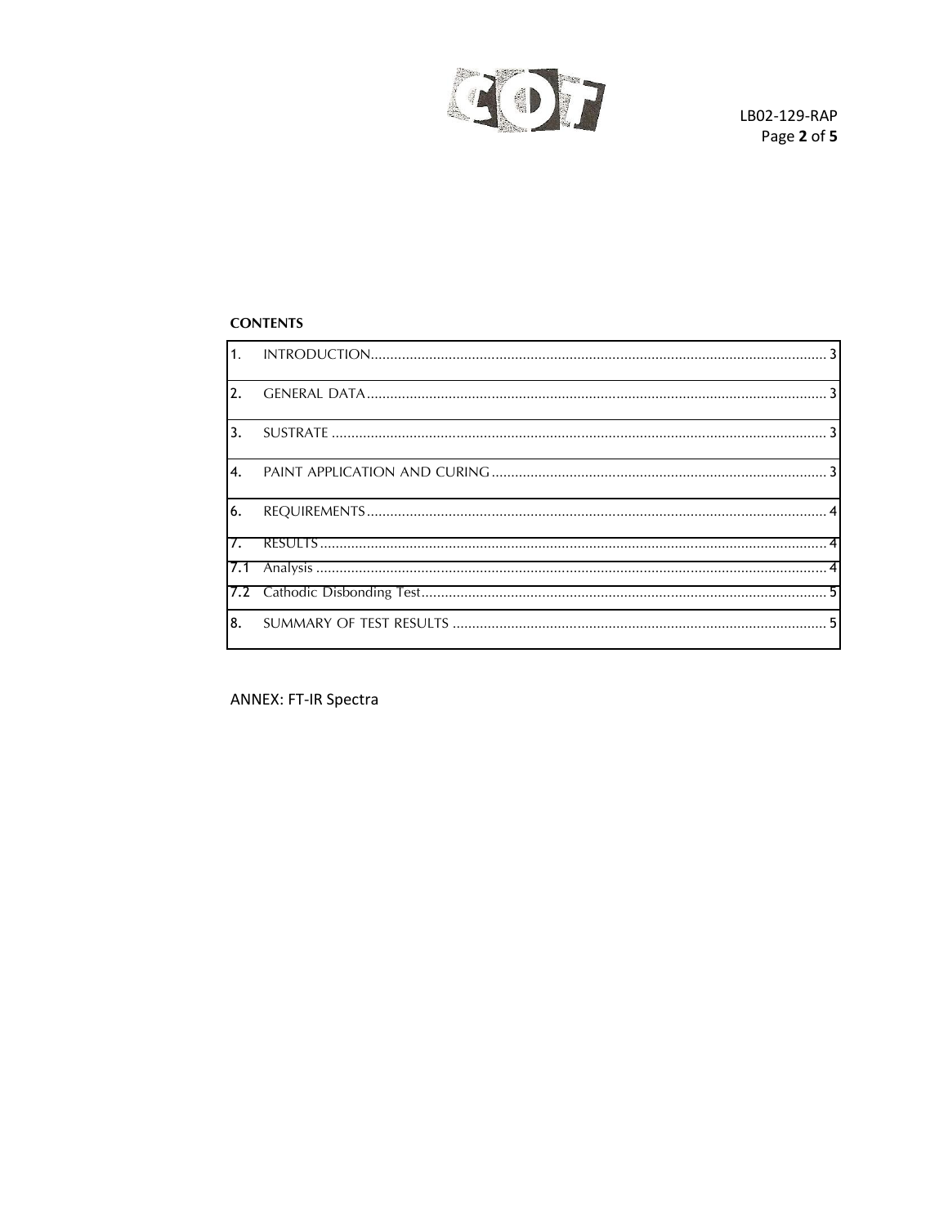

## **CONTENTS**

**ANNEX: FT-IR Spectra**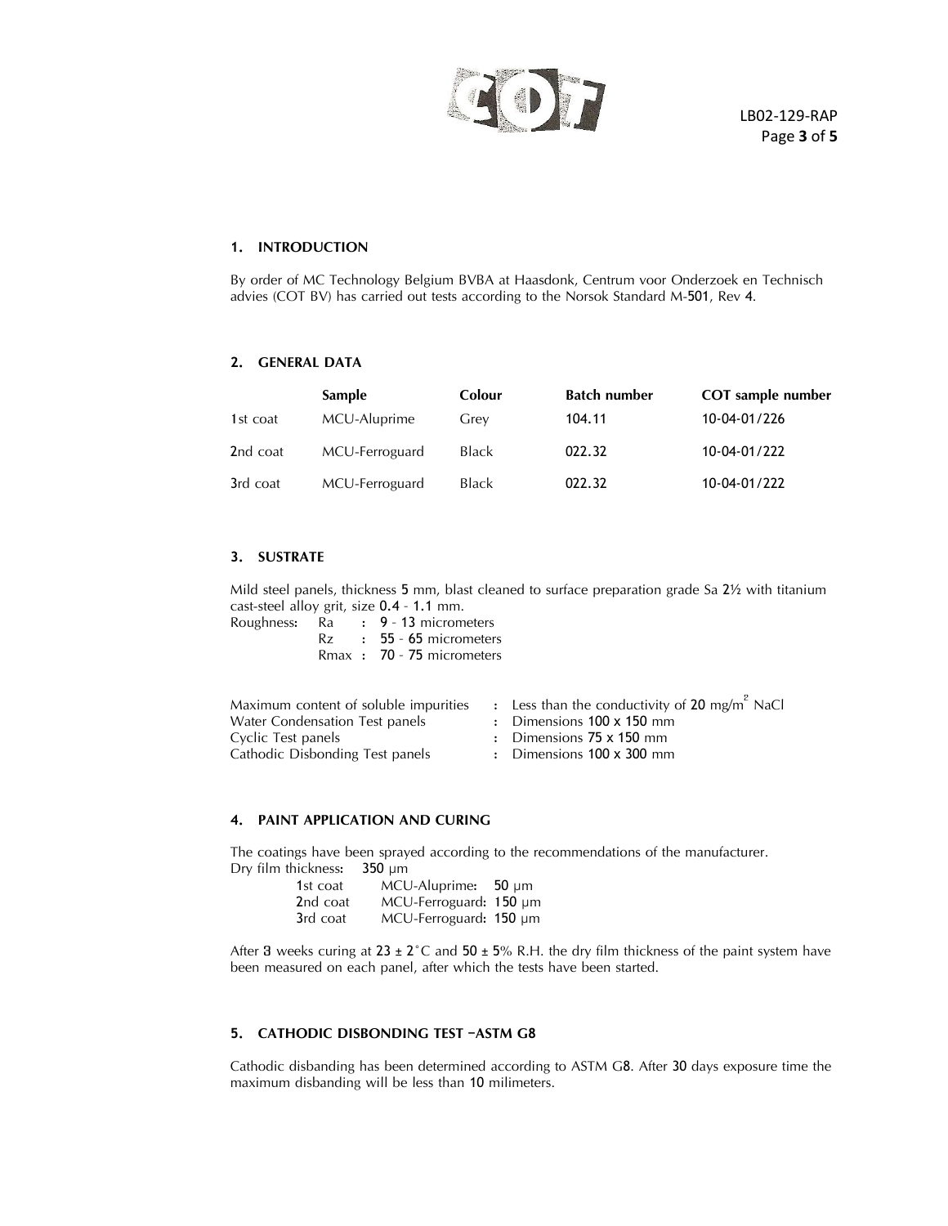

## <span id="page-2-0"></span>**1. INTRODUCTION**

By order of MC Technology Belgium BVBA at Haasdonk, Centrum voor Onderzoek en Technisch advies (COT BV) has carried out tests according to the Norsok Standard M-501, Rev 4.

## <span id="page-2-1"></span>**2. GENERAL DATA**

|          | <b>Sample</b>  | Colour       | <b>Batch number</b> | <b>COT</b> sample number |
|----------|----------------|--------------|---------------------|--------------------------|
| 1st coat | MCU-Aluprime   | Grev         | 104.11              | 10-04-01/226             |
| 2nd coat | MCU-Ferroguard | <b>Black</b> | 022.32              | 10-04-01/222             |
| 3rd coat | MCU-Ferroguard | Black        | 022.32              | 10-04-01/222             |

## <span id="page-2-2"></span>**3. SUSTRATE**

Mild steel panels, thickness <sup>5</sup> mm, blast cleaned to surface preparation grade Sa 2½ with titanium cast-steel alloy grit, size  $0.4 - 1.1$  mm.<br>Roughness: Ra :  $9 - 13$  microm

| ss: Ra | $\frac{1}{2}$ 9 - 13 micrometers |
|--------|----------------------------------|
|        | $Rz$ : 55 - 65 micrometers       |
|        | Rmax: 70 - 75 micrometers        |

| Maximum content of soluble impurities | : Less than the conductivity of 20 mg/m <sup>2</sup> NaCl |
|---------------------------------------|-----------------------------------------------------------|
| Water Condensation Test panels        | $\therefore$ Dimensions 100 x 150 mm                      |
| Cyclic Test panels                    | : Dimensions $75 \times 150$ mm                           |
| Cathodic Disbonding Test panels       | : Dimensions $100 \times 300$ mm                          |

### <span id="page-2-3"></span>**4. PAINT APPLICATION AND CURING**

The coatings have been sprayed according to the recommendations of the manufacturer. Dry film thickness: 350 µm

| 1st coat | $MCU$ -Aluprime: 50 µm |  |
|----------|------------------------|--|
| 2nd coat | MCU-Ferroguard: 150 µm |  |
| 3rd coat | MCU-Ferroguard: 150 µm |  |

After 3 weeks curing at  $23 \pm 2^{\circ}$ C and  $50 \pm 5\%$  R.H. the dry film thickness of the paint system have been measured on each panel, after which the tests have been started.

### **5. CATHODIC DISBONDING TEST –ASTM G<sup>8</sup>**

Cathodic disbanding has been determined according to ASTM <sup>G</sup>8. After <sup>30</sup> days exposure time the maximum disbanding will be less than <sup>10</sup> milimeters.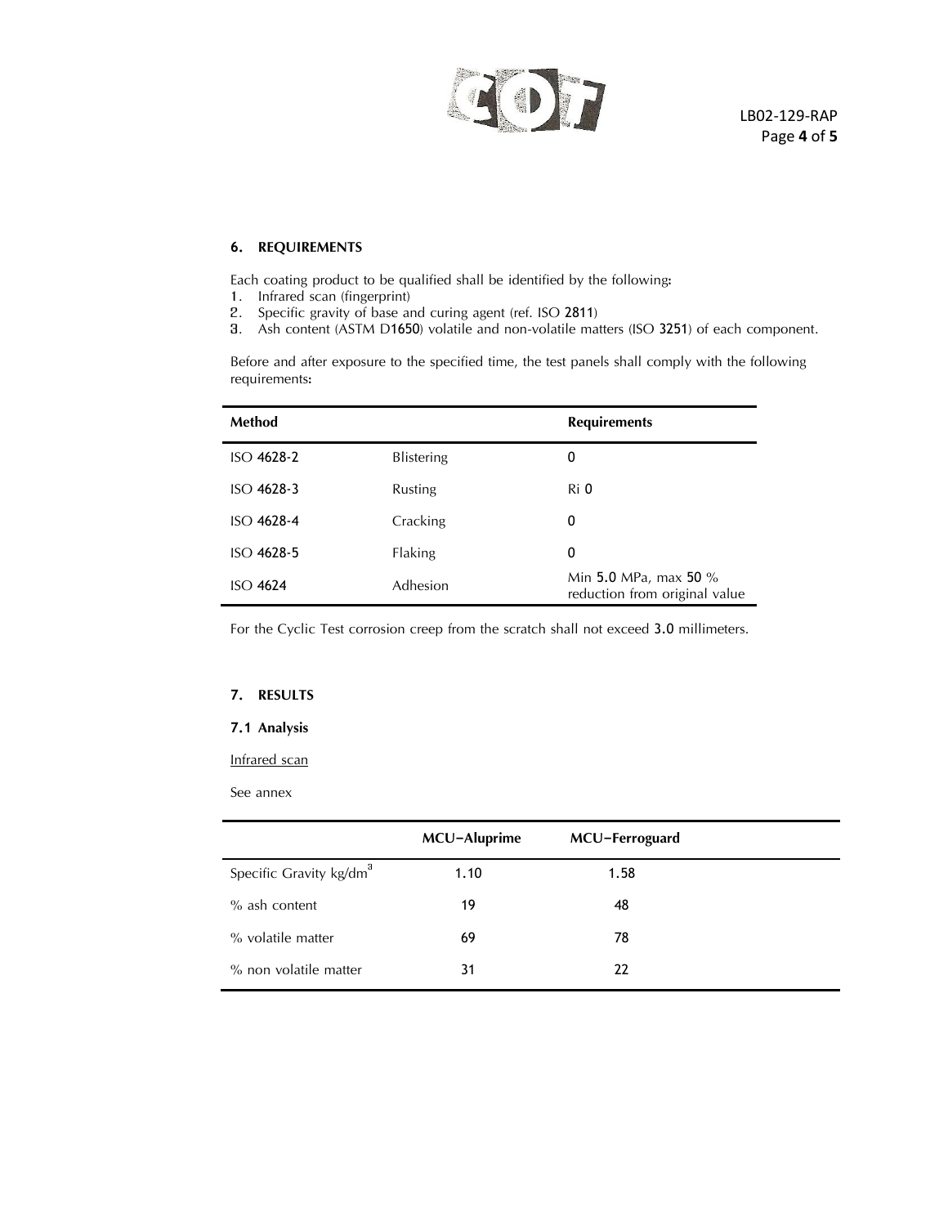

## <span id="page-3-0"></span>**6. REQUIREMENTS**

Each coating product to be qualified shall be identified by the following:

- 1. Infrared scan (fingerprint)
- 2. Specific gravity of base and curing agent (ref. ISO 2811)
- 3. Ash content (ASTM D1650) volatile and non-volatile matters (ISO 3251) of each component.

Before and after exposure to the specified time, the test panels shall comply with the following requirements:

| <b>Method</b>   |                   | <b>Requirements</b>                                      |
|-----------------|-------------------|----------------------------------------------------------|
| $ISO$ 4628-2    | <b>Blistering</b> | 0                                                        |
| $ISO$ 4628-3    | Rusting           | Ri 0                                                     |
| $ISO$ 4628-4    | Cracking          | 0                                                        |
| $ISO$ 4628-5    | Flaking           | 0                                                        |
| <b>ISO 4624</b> | Adhesion          | Min 5.0 MPa, max 50 $%$<br>reduction from original value |

For the Cyclic Test corrosion creep from the scratch shall not exceed 3.0 millimeters.

### <span id="page-3-1"></span>**7. RESULTS**

## <span id="page-3-2"></span>**7.1 Analysis**

### Infrared scan

See annex

|                                     | MCU-Aluprime | MCU-Ferroguard |  |
|-------------------------------------|--------------|----------------|--|
| Specific Gravity kg/dm <sup>3</sup> | 1.10         | 1.58           |  |
| $%$ ash content                     | 19           | 48             |  |
| % volatile matter                   | 69           | 78             |  |
| % non volatile matter               | 31           | 22             |  |